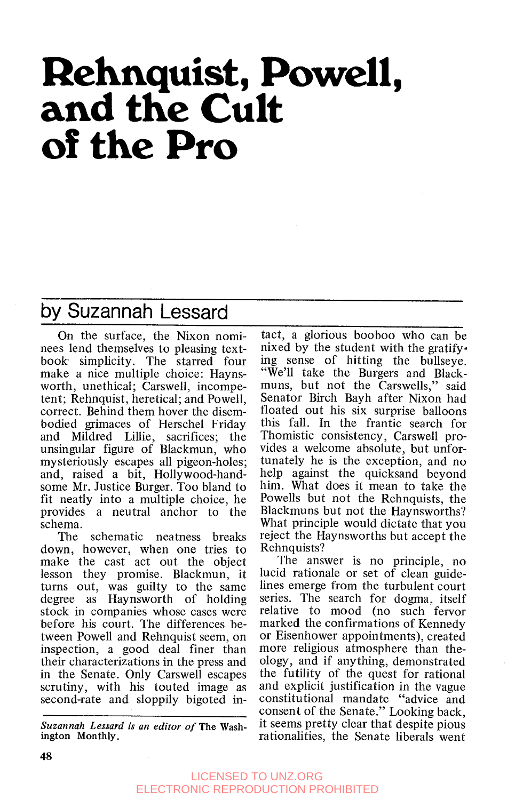# **Rehnquist, Powell, and the Cult of the Pro**

### by Suzannah Lessard

On the surface, the Nixon nominees lend themselves to pleasing textbook simplicity. The starred four make a nice multiple choice: Haynsworth, unethical; Carswell, incompetent; Rehnquist, heretical; and Powell, correct. Behind them hover the disembodied grimaces of Herschel Friday and Mildred Lillie, sacrifices; the unsingular figure of Blackmun, who mysteriously escapes all pigeon-holes; and, raised a bit, Hollywood-handsome Mr. Justice Burger. Too bland to fit neatly into a multiple choice, he provides a neutral anchor to the schema.

The schematic neatness breaks down, however, when one tries to make the cast act out the object lesson they promise. Blackmun, it turns out, was guilty to the same degree as Haynsworth of holding stock in companies whose cases were before his court. The differences between Powell and Rehnquist seem, on inspection, a good deal finer than their characterizations in the press and in the Senate. Only Carswell escapes scrutiny, with his touted image as second-rate and sloppily bigoted in-

*Suzannah Lessard is an editor of* The Washington Monthly.

tact, a glorious booboo who canbe nixed by the student with the gratify. ing sense of hitting the bullseye. "We'll take the Burgers and Blackmuns, but not the Carswells," said Senator Birch Bayh after Nixon had floated out his six surprise balloons this fall. In the frantic search for Thomistic consistency, Carswell provides a welcome absolute, but unfortunately he is the exception, and no help against the quicksand beyond him. What does it mean to take the Powells but not the Rehnquists, the Blackmuns but not the Haynsworths? What principle would dictate that you reject the Haynsworths but accept the Rehnquists?

The answer is no principle, no lucid rationale or set of clean guidelines emerge from the turbulent court series. The search for dogma, itself relative to mood (no such fervor marked the confirmations of Kennedy or Eisenhower appointments), created more religious atmosphere than theology, and if anything, demonstrated the futility of the quest for rational and explicit justification in the vague constitutional mandate "advice and consent of the Senate." Looking back, it seems pretty clear that despite pious rationalities, the Senate liberals went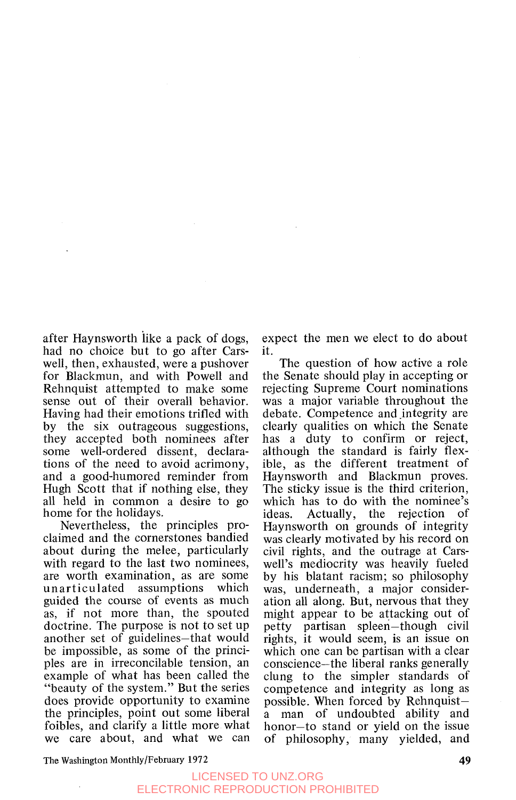after Haynsworth like a pack of dogs, had no choice but to go after Carswell, then, exhausted, were a pushover for Blackmun, and with Powell and Rehnquist attempted to make some sense out of their overall behavior. Having had their emotions trifled with by the six outrageous suggestions, they accepted both nominees after some well-ordered dissent, declarations of the need to avoid acrimony, and a good-humored reminder from Hugh Scott that if nothing else, they all held in common a desire to go home for the holidays.

Nevertheless, the principles proclaimed and the cornerstones bandied about during the melee, particularly with regard to the last two nominees, are worth examination, as are some unarticulated assumptions which guided the course of events as much as, if not more than, the spouted doctrine. The purpose is not to set up another set of guidelines-that would be impossible, as some of the principles are in irreconcilable tension, an example of what has been called the "beauty of the system." But the series does provide opportunity to examine the principles, point out some liberal foibles, and clarify a little more what we care about, and what we can

expect the men we elect to do about it.

The question of how active a role the Senate should play in accepting or rejecting Supreme Court nominations was a major variable throughout the debate. Competence and integrity are. clearly qualities on which the Senate has a duty to confirm or reject, although the standard is fairly flexible, as the different treatment of Haynsworth and Blackmun proves. The sticky issue is the third criterion, which has to do with the nominee's<br>ideas. Actually, the rejection of ideas. Actually, the rejection of Haynsworth on grounds of integrity was clearly motivated by his record on civil rights, and the outrage at Carswell's mediocrity was heavily fueled by his blatant racism; so philosophy was, underneath, a major consideration all along. But, nervous that they might appear to be attacking out of petty partisan spleen-though civil rights, it would seem, is an issue on which one can be partisan with a clear conscience-the liberal ranks generally clung to the simpler standards of competence and integrity as long as possible. When forced by Rehnquista man of undoubted ability and honor-to stand or yield on the issue of philosophy, many yielded, and

The **Washington** Monthly/February **1972**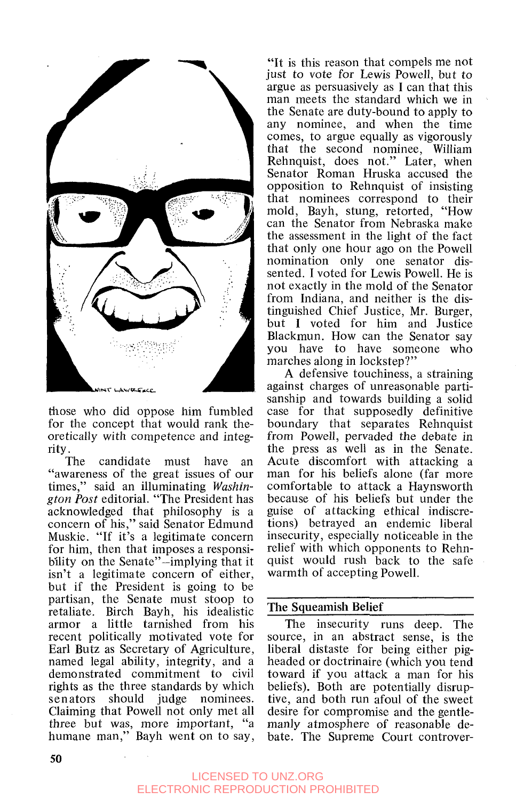

those who did oppose him fumbled for the concept that would rank theoretically with competence and integ-

rity.<br>The candidate must have an "awareness of the great issues of our times," said an illuminating *Wuskington Post* editorial. "The President has acknowledged that philosophy is a concern of his," said Senator Edmund Muskie. "If it's a legitimate concern for him, then that imposes a responsibility on the Senate"-implying that it isn't a legitimate concern of either, but if the President is going to be partisan, the Senate must stoop to retaliate. Birch Bayh, his idealistic armor a little tarnished from his recent politically motivated vote for Earl Butz as Secretary of Agriculture, named legal ability, integrity, and a demonstrated commitment to civil rights as the three standards by which senators should judge nominees. Claiming that Powell not only met all three but was, more important, "a humane man," Bayh went on to say,

"It is this reason that compels me not just to vote for Lewis Powell, but to argue as persuasively as **I** can that this man meets the standard which we in the Senate are duty-bound to apply to any nominee, and when the time comes, to argue equally as vigorously that the second nominee, William Rehnquist, does not." Later, when Senator Roman Hruska accused the opposition to Rehnquist of insisting that nominees correspond to their mold, Bayh, stung, retorted, "How can the Senator from Nebraska make the assessment in the light of the fact that only one hour ago on the Powell nomination only one senator dissented. I voted for Lewis Powell. He is not exactly in the mold of the Senator from Indiana, and neither is the distinguished Chief Justice, Mr. Burger, but I voted for him and Justice Blackmun. How can the Senator say you have to have someone who marches along in lockstep?"

**A** defensive touchiness, a straining against charges of unreasonable partisanship and towards building a solid case for that supposedly definitive boundary that separates Rehnquist from Powell, pervaded the debate in the press as well as in the Senate. Acute discomfort with attacking a man for his beliefs alone (far more comfortable to attack a Haynsworth because of his beliefs but under the guise of attacking ethical indiscretions) betrayed an endemic liberal insecurity, especially noticeable in the relief with which opponents to Rehnquist would rush back to the safe warmth of accepting Powell.

#### **The Squeamish Belief**

The insecurity runs deep. The source, in an abstract sense, is the liberal distaste for being either pigheaded or doctrinaire (which you tend toward if you attack a man for his beliefs). Both are potentially disruptive, and both run afoul of the sweet desire for compromise and the gentlemanly atmosphere of reasonable debate. The Supreme Court controver-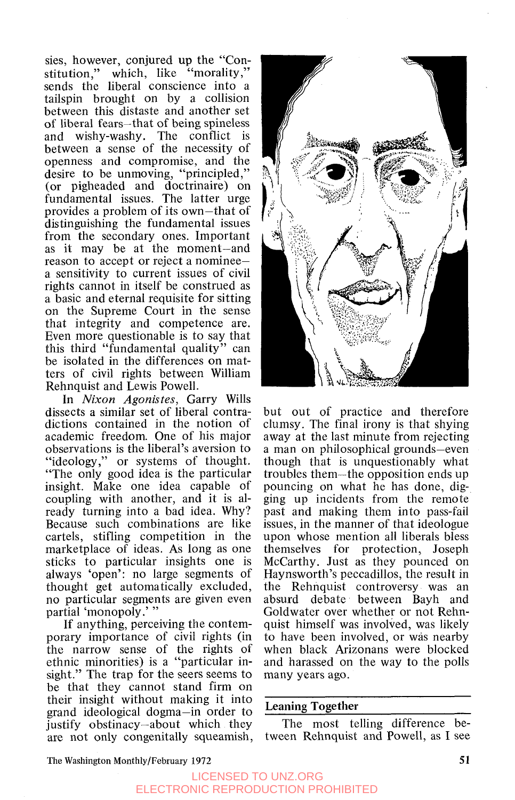sies, however, conjured up the "Constitution," which, like "morality," sends the liberal conscience into a tailspin brought on by a collision between this distaste and another set of liberal fears-that of being spineless and wishy-washy. The conflict is between a sense of the necessity of openness and compromise, and the desire to be unmoving, "principled," (or pigheaded and doctrinaire) on fundamental issues. The latter urge provides a problem of its own-that of distinguishing the fundamental issues from the secondary ones. Important as it may be at the moment-and reason to accept or reject a nomineea sensitivity to current issues of civil rights cannot in itself be construed as a basic and eternal requisite for sitting on the Supreme Court in the sense that integrity and competence are. Even more questionable is to say that this third "fundamental quality" can be isolated in the differences on matters of civil rights between William Rehnquist and Lewis Powell.

In *Nixon Agonistes,* Garry Wills dissects a similar set of liberal contradictions contained in the notion of academic freedom. One of his major observations is the liberal's aversion to "ideology," or systems of thought. "The only good idea is the particular insight. Make one idea capable of coupling with another, and it is already turning into a bad idea. Why? Because such combinations are like cartels, stifling competition in the marketplace of ideas. **As** long as one sticks to particular insights one is always 'open': no large segments of thought get automatically excluded, no particular segments are given even partial 'monopoly.'"

If anything, perceiving the contemporary importance of civil rights (in the narrow sense of the rights of ethnic minorities) is a "particular insight." The trap for the seers seems to be that they cannot stand firm on their insight without making it into grand ideological dogma-in order to justify obstinacy-about which they are not only congenitally squeamish,



but out of practice and therefore clumsy. The final irony is that shying away at the last minute from rejecting a man on philosophical grounds-even though that is unquestionably what troubles them-the opposition ends up pouncing on what he has done, digging up incidents from the remote past and making them into pass-fail issues, in the manner of that ideologue upon whose mention all liberals bless themselves for protection, Joseph McCarthy. Just as they pounced on Haynsworth's peccadillos, the result in the Rehnquist controversy was an absurd debate between Bayh and Goldwater over whether or not Rehnquist himself was involved, was likely to have been involved, or was nearby when black Arizonans were blocked and harassed on the way to the polls many years ago.

#### Leaning Together

The most telling difference between Rehnquist and Powell, as I see

**The Washington Monthly/February 1972** 51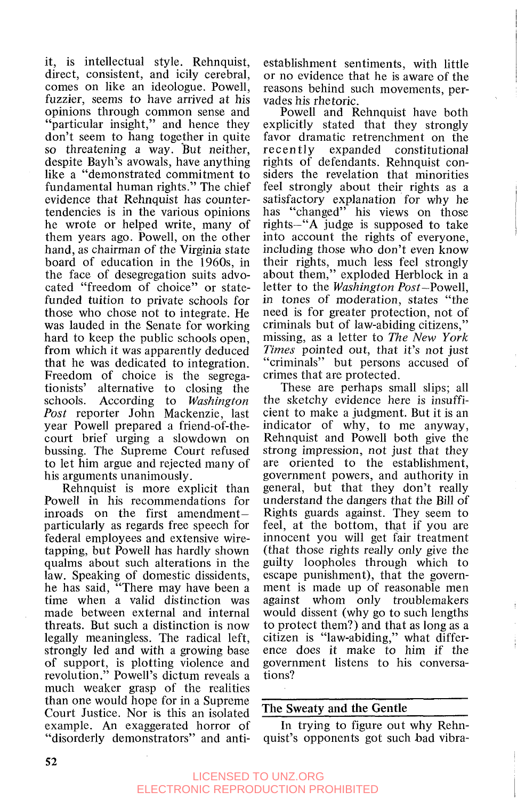it, is intellectual style. Rehnquist, direct, consistent, and icily cerebral, comes on like an ideologue. Powell, fuzzier, seems to have arrived at his opinions through common sense and "particular insight," and hence they don't seem to hang together in quite so threatening a way. But neither, despite Bayh's avowals, have anything like a "demonstrated commitment to fundamental human rights." The chief evidence that Rehnquist has countertendencies is in the various opinions he wrote or helped write, many of them years ago. Powell, on the other hand, as chairman of the Virginia state board of education in the 1960s, in the face of desegregation suits advocated "freedom of choice" or statefunded tuition to private schools for those who chose not to integrate. He was lauded in the Senate for working hard to keep the public schools open, from which it was apparently deduced that he was dedicated to integration. Freedom of choice is the segregationists' alternative to closing the schools. According to *Washington Post* reporter John Mackenzie, last year Powell prepared a friend-of-thecourt brief urging a slowdown on bussing. The Supreme Court refused to let him argue and rejected many of his arguments unanimously.

Rehnquist is more explicit than Powell in his recommendations for inroads on the first amendmentparticularly as regards free speech for federal employees and extensive wiretapping, but Powell has hardly shown qualms about such alterations in the law. Speaking of domestic dissidents, he has said, "There may have been a time when a valid distinction was made between external and internal threats. But such a distinction is now legally meaningless. The radical left, strongly led and with a growing base of support, is plotting violence and revolution." Powell's dictum reveals a much weaker grasp of the realities than one would hope for in a Supreme Court Justice. Nor is this an isolated example. An exaggerated horror of "disorderly demonstrators" and anti-

establishment sentiments, with little or no evidence that he is aware of the reasons behind such movements, pervades his rhetoric.

Powell and Rehnquist have both explicitly stated that they strongly favor dramatic retrenchment on the recently expanded constitutional rights of defendants. Rehnquist considers the revelation that minorities feel strongly about their rights as a satisfactory explanation for why he into account the rights of everyone, including those who don't even know their rights, much less feel strongly about them,'' exploded Herblock in a letter to the *Washington* Post-Powell, in tones of moderation, states "the need is for greater protection, not of criminals but of law-abiding citizens," missing, as a letter to *The New York Times* pointed out, that it's not just "criminals" but persons accused of crimes that are protected. has "changed" his views on those rights-"A judge is supposed to take

These are perhaps small slips; all the sketchy evidence here is insufficient to make a judgment. But it is an indicator of why, to me anyway, Rehnquist and Powell both give the strong impression, not just that they are oriented to the establishment, government powers, and authority in general, but that they don't really understand the dangers that the Bill of Rights guards against. They seem to feel, at the bottom, that if you are innocent you will get fair treatment (that those rights really only give the guilty loopholes through which to escape punishment), that the government is made up *o€* reasonable men against whom only troublemakers would dissent (why go to such lengths to protect them?) and that as long as a citizen is "law-abiding," what difference does it make to him if the government listens to his conversations?

#### The Sweaty and the Gentle

In trying to figure out why Rehnquist's opponents got such bad vibra-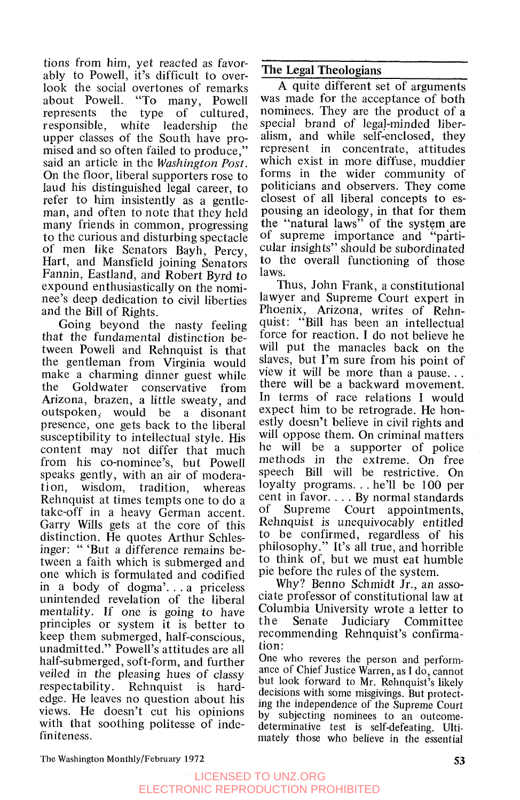tions from him, yet reacted as favorably to Powell, it's difficult to overlook the social overtones of remarks<br>about Powell. "To many. Powell about Powell. "To many, Powell<br>represents the type of cultured. represents the type<br>responsible, white lead white leadership the upper classes of the South have promised and so often failed to produce." said an article in the *Washington Post.*  On the floor, liberal supporters rose to laud his distinguished legal career, to refer to him insistently as a gentleman, and often to note that they held many friends in common, progressing to the curious and disturbing spectacle of men like Senators Bayh, Percy, Hart, and Mansfield joining Senators Fannin, Eastland, and Robert Byrd to expound enthusiastically on the nominee's deep dedication to civil liberties and the Bill of Rights.

Going beyond the nasty feeling that the fundamental distinction between Powell and Rehnquist is that the gentleman from Virginia would make a charming dinner guest while<br>the Goldwater conservative from Goldwater conservative from Arizona, brazen, a little sweaty, and outspoken; would be a disonant presence, one gets back to the liberal susceptibility to intellectual style. His content may not differ that much from his co-nominee's, but Powell speaks gently, with an air of moderation, wisdom, tradition, whereas Rehnquist at times tempts one to do a take-off in a heavy German accent. Garry Wills gets at the core of this distinction. He quotes Arthur Schlesinger: " 'But a difference remains between a faith which is submerged and one which is formulated and codified in a body of dogma'. . . a priceless unintended revelation of the liberal mentality. If one is going to have principles or system it is better to keep them submerged, half-conscious, unadmitted." Powell's attitudes are all half-submerged, soft-form, and further veiled in the pleasing hues of classy respectability. Rehnquist is hardedge. He leaves no question about his views. He doesn't cut his opinions with that soothing politesse of indefiniteness.

#### The Legal Theologians

**A** quite different set of arguments was made for the acceptance of both nominees. They are the product of a special brand of legaj-minded liberalism, and while self-enclosed, they represent in concentrate, attitudes which exist in more diffuse, muddier forms in the wider community of politicians and observers. They come closest of all liberal concepts to espousing an ideology, in that for them the "natural laws" of the system are of supreme importance and "particular insights" should be subordinated to the overall functioning of those laws.

Thus, John Frank, a constitutional lawyer and Supreme Court expert in Phoenix, Arizona, writes of Rehnquist: "Bill has been an intellectual force for reaction. I do not believe he will put the manacles back on the slaves, but I'm sure from his point of view it will be more than a pause... there will be a backward movement. In terms of race relations I would expect him to be retrograde. He honestly doesn't believe in civil rights and will oppose them. On criminal matters he will be a supporter of police methods in the extreme. On free speech Bill will be restrictive. On loyalty programs. . . he'll be 100 per cent in favor. . . . By normal standards of Supreme Court appointments, Rehnquist is unequivocably entitled to be confirmed, regardless of his philosophy." It's all true, and horrible to think of, but we must eat humble pie before the rules of the system.

Why? Benno Schmidt Jr., an associate professor of constitutional law at Columbia University wrote a letter to the Senate Judiciary Committee recommending Rehnquist's confirmation:

One who reveres the person and performance of Chief Justice Warren, as **I** do, cannot but look forward to Mr. Rehnquist's likely decisions with some misgivings. But protecting the independence of the Supreme Court by subjecting nominees to an outcomedeterminative test is self-defeating. Ultimately those who believe in the essential

The Washington Monthly/February **1972 53**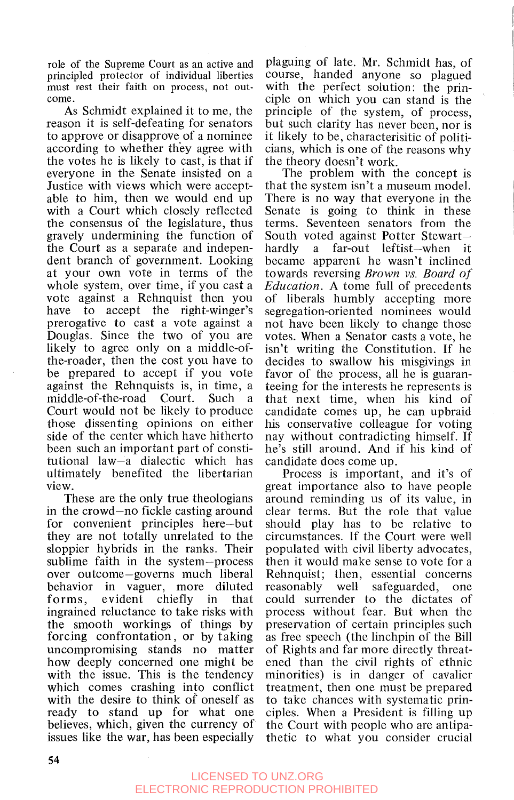role of the Supreme Court as an active and principled protector of individual liberties must rest their faith on process, not outcome.

As Schmidt explained it to me, the reason it is self-defeating for senators to approve or disapprove of a nominee according to whether they agree with the votes he is likely to cast, is that if everyone in the Senate insisted on a Justice with views which were acceptable to him, then we would end up with a Court which closely reflected the consensus of the legislature, thus gravely undermining the function of the Court as a separate and independent branch of government. Looking at your own vote in terms of the whole system, over time, if you cast a vote against a Rehnquist then you have to accept the right-winger's prerogative to cast a vote against a Douglas. Since the two of you are likely to agree only on a middle-ofthe-roader, then the cost you have to be prepared to accept if you vote against the Rehnquists is, in time, a middle-of-the-road Court. Such a Court would not be likely to produce those dissenting opinions on either side of the center which have hitherto been such an important part of constitutional law-a dialectic which has ultimately benefited the libertarian view.

These are the only true theologians in the crowd-no fickle casting around for convenient principles here-but they are not totally unrelated to the sloppier hybrids in the ranks. Their sublime faith in the system-process over outcome-governs much liberal behavior in vaguer, more diluted forms, evident chiefly in that ingrained reluctance to take risks with the smooth workings of things by forcing confrontation, or by taking uncompromising stands no matter how deeply concerned one might be with the issue. This is the tendency which comes crashing into conflict with the desire to think of oneself as ready to stand up for what one believes, which, given the currency of issues like the war, has been especially

plaguing of late. Mr. Schmidt has, of course, handed anyone so plagued with the perfect solution: the principle on which you can stand is the principle of the system, of process, but such clarity has never been, nor is it likely to be, characterisitic of politicians, which is one of the reasons why the theory doesn't work.

The problem with the concept is that the system isn't a museum model. There is no way that everyone in the Senate is going to think in these terms. Seventeen senators from the South voted against Potter Stewart—<br>hardly a far-out leftist—when it a far-out leftist-when it became apparent he wasn't inclined towards reversing *Brown vs. Board of Education.* **A** tome full of precedents of liberals humbly accepting more segregation-oriented nominees would not have been likely to change those votes. When a Senator casts a vote, he isn't writing the Constitution. If he decides to swallow his misgivings in favor of the process, all he is guaranteeing for the interests he represents is that next time, when his kind of candidate comes up, he can upbraid his conservative colleague for voting nay without contradicting himself. If he's still around. And if his kind of candidate does come up.

Process is important, and it's of great importance also to have people around reminding us of its value, in clear terms. But the role that value should play has to be relative to circumstances. If the Court were well populated with civil liberty advocates, then it would make sense to vote for a Rehnquist; then, essential concerns reasonably well safeguarded, one could surrender to the dictates of process without fear. But when the preservation of certain principles such as free speech (the linchpin of the Bill of Rights and far more directly threatened than the civil rights of ethnic minorities) is in danger of cavalier treatment, then one must be prepared to take chances with systematic principles. When a President is filling up the Court with people who are antipathetic to what you consider crucial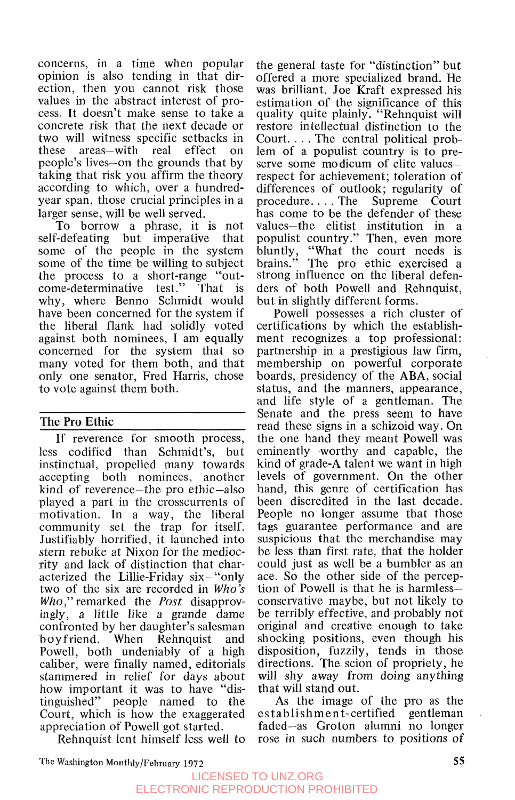concerns, in a time when popular opinion is also tending in that direction, then you cannot risk those values in the abstract interest of process. It doesn't make sense to take a concrete risk that the next decade or two will witness specific setbacks in these areas-with real effect on people's lives-on the grounds that by taking that risk you affirm the theory according to which, over a hundredyear span, those crucial principles in a larger sense, will be well served.

To borrow a phrase, it is not self-defeating but imperative that some of the people in the system some of the time be willing to subject the process to a short-range "outcome-determinative test." That is why, where Benno Schmidt would have been concerned for the system if the liberal flank had solidly voted against both nominees, I am equally concerned for the system that so many voted for them both, and that only one senator, Fred Harris, chose to vote against them both.

#### **The Pro Ethic**

If reverence for smooth process, less codified than Schmidt's, but instinctual, propelled many towards accepting both nominees, another kind of reverence-the pro ethic-also played a part in the crosscurrents of motivation. In a way, the liberal community set the trap for itself. Justifiably horrified, it launched into stern rebuke at Nixon for the mediocrity and lack of distinction that characterized the Lillie-Friday six-"only two of the six are recorded in *Who's Who,"* remarked the *Post* disapprovingly, a little like a grande dame confronted by her daughter's salesman boyfriend. When Rehnquist and Powell, both undeniably of a high caliber, were finally named, editorials stammered in relief for days about how important it was to have "distinguished" people named to the people named to the Court, which is how the exaggerated appreciation of Powell got started.

Rehnquist lent himself less well to

the general taste for "distinction" but offered a more specialized brand. He was brilliant. Joe Kraft expressed his estimation of the significance of this quality quite plainly. "Rehnquist will restore intellectual distinction to the Court. . . . The central political problem of a populist country is to preserve some modicum of elite valuesrespect for achievement; toleration of differences of outlook; regularity of procedure... The Supreme Court procedure.  $\ldots$  The has come to be the defender of these values-the elitist institution in populist country." Then, even more<br>bluntly, "What the court needs is bluntly, "What the court needs is brains." The pro ethic exercised a strong influence on the liberal defenders of both Powell and Rehnquist, but in slightly different forms.

Powell possesses a rich cluster of certifications by which the establishment recognizes a top professional: partnership in a prestigious law firm, membership on powerful corporate boards, presidency of the ABA, social status, and the manners, appearance, and life style of a gentleman. The Senate and the press seem to have read these signs in a schizoid way. On the one hand they meant Powell was eminently worthy and capable, the kind of grade-A talent we want in high levels of government. On the other hand, this genre of certification has been discredited in the last decade. People no longer assume that those tags guarantee performance and are suspicious that the merchandise may be less than first rate, that the holder could just as well be a bumbler as an ace. *So* the other side of the perception of Powell is that he is harmlessconservative maybe, but not likely to be terribly effective, and probably not original and creative enough to take shocking positions, even though his disposition, fuzzily, tends in those directions. The scion of propriety, he will shy away from doing anything that will stand out.

As the image of the pro as the est ab lishmen t-certified gentleman faded-as Groton alumni no longer rose in such numbers to positions of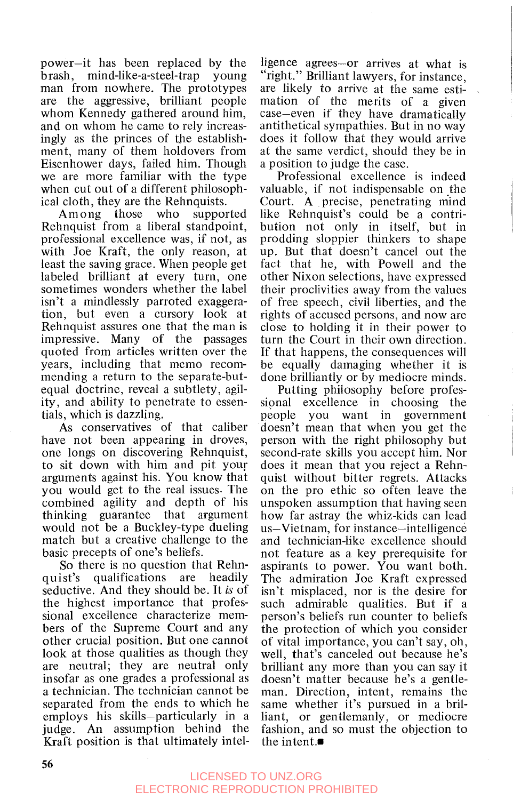power-it has been replaced by the brash, mind-like-a-steel-trap young man from nowhere. The prototypes are the aggressive, brilliant people whom Kennedy gathered around him, and on whom he came to rely increasingly as the princes of the establishment, many of them holdovers from Eisenhower days, failed him. Though we are more familiar with the type when cut out of a different philosophical cloth, they are the Rehnquists.

Among those who supported Rehnquist from a liberal standpoint, professional excellence was, if not, as with Joe Kraft, the only reason, at least the saving grace. When people get labeled brilliant at every turn, one sometimes wonders whether the label isn't a mindlessly parroted exaggeration, but even a cursory look at Rehnquist assures one that the man is impressive. Many of the passages quoted from articles written over the years, including that memo recommending a return to the separate-butequal doctrine, reveal a subtlety, agility, and ability to penetrate to essentials, which is dazzling.

As conservatives of that caliber have not been appearing in droves, one longs on discovering Rehnquist, to sit down with him and pit your arguments against his. You know that you would get to the real issues. The combined agility and depth of his thinking guarantee that argument would not be a Buckley-type dueling match but a creative challenge to the basic precepts of one's beliefs.

So there is no question that Rehnquist's qualifications are headily seductive. And they should be. It *is* of the highest importance that professional excellence characterize members of the Supreme Court and any other crucial position. But one cannot look at those qualities as though they are neutral; they are neutral only insofar as one grades a professional as a technician. The technician cannot be separated from the ends to which he employs his skills-particularly in a judge. An assumption behind the Kraft position is that ultimately intel-

ligence agrees--or arrives at what is "right." Brilliant lawyers, for instance, are likely to arrive at the same estimation of the merits of a given case-even if they have dramatically antithetical sympathies. But in no way does it follow that they would arrive at the same verdict, should they be in a position to judge the case.

Professional excellence is indeed valuable, if not indispensable on the Court. A precise, penetrating mind like Rehnquist's could be a contribution not only in itself, but in prodding sloppier thinkers to shape up. But that doesn't cancel out the fact that he, with Powell and the other Nixon selections, have expressed their proclivities away from the values of free speech, civil liberties, and the rights of accused persons, and now are close to holding it in their power to turn the Court in their own direction. If that happens, the consequences will be equally damaging whether it is done brilliantly or by mediocre minds.

Putting philosophy before profes-<br>sional excellence in choosing the sional excellence in choosing the you want in government doesn't mean that when you get the person with the right philosophy but second-rate skills you accept him. Nor does it mean that you reject a Rehnquist without bitter regrets. Attacks on the pro ethic so often leave the unspoken assumption that having seen how far astray the whiz-kids can lead us-Vietnam, for instance-intelligence and technician-like excellence should not feature as a key prerequisite for aspirants to power. You want both. The admiration Joe Kraft expressed isn't misplaced, nor is the desire for such admirable qualities. But if a person's beliefs run counter to beliefs the protection of which you consider of vital importance, you can't say, oh, well, that's canceled out because he's brilliant any more than you can say it doesn't matter because he's a gentleman, Direction, intent, remains the same whether it's pursued in a brilliant, or gentlemanly, or mediocre fashion, and so must the objection to the intent. $\blacksquare$